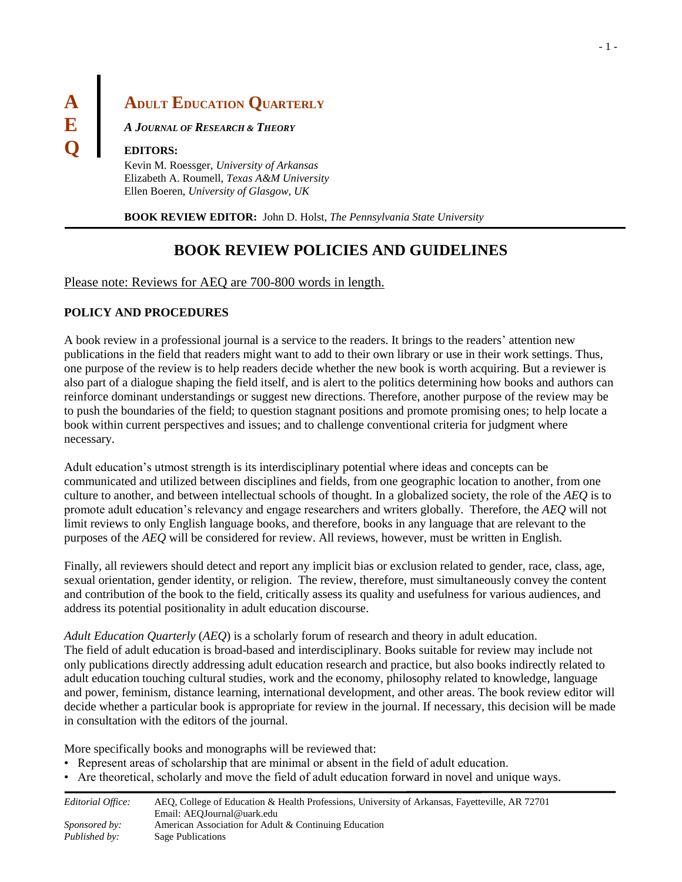# **A ADULT EDUCATION QUARTERLY**

**E** *<sup>A</sup> <sup>J</sup>OURNAL OF RESEARCH & <sup>T</sup>HEORY*

#### **Q EDITORS:**

Kevin M. Roessger, *University of Arkansas* Elizabeth A. Roumell, *Texas A&M University* Ellen Boeren, *University of Glasgow, UK*

**BOOK REVIEW EDITOR:** John D. Holst, *The Pennsylvania State University*

# **BOOK REVIEW POLICIES AND GUIDELINES**

#### Please note: Reviews for AEQ are 700-800 words in length.

#### **POLICY AND PROCEDURES**

A book review in a professional journal is a service to the readers. It brings to the readers' attention new publications in the field that readers might want to add to their own library or use in their work settings. Thus, one purpose of the review is to help readers decide whether the new book is worth acquiring. But a reviewer is also part of a dialogue shaping the field itself, and is alert to the politics determining how books and authors can reinforce dominant understandings or suggest new directions. Therefore, another purpose of the review may be to push the boundaries of the field; to question stagnant positions and promote promising ones; to help locate a book within current perspectives and issues; and to challenge conventional criteria for judgment where necessary.

Adult education's utmost strength is its interdisciplinary potential where ideas and concepts can be communicated and utilized between disciplines and fields, from one geographic location to another, from one culture to another, and between intellectual schools of thought. In a globalized society, the role of the *AEQ* is to promote adult education's relevancy and engage researchers and writers globally. Therefore, the *AEQ* will not limit reviews to only English language books, and therefore, books in any language that are relevant to the purposes of the *AEQ* will be considered for review. All reviews, however, must be written in English.

Finally, all reviewers should detect and report any implicit bias or exclusion related to gender, race, class, age, sexual orientation, gender identity, or religion. The review, therefore, must simultaneously convey the content and contribution of the book to the field, critically assess its quality and usefulness for various audiences, and address its potential positionality in adult education discourse.

*Adult Education Quarterly* (*AEQ*) is a scholarly forum of research and theory in adult education. The field of adult education is broad-based and interdisciplinary. Books suitable for review may include not only publications directly addressing adult education research and practice, but also books indirectly related to adult education touching cultural studies, work and the economy, philosophy related to knowledge, language and power, feminism, distance learning, international development, and other areas. The book review editor will decide whether a particular book is appropriate for review in the journal. If necessary, this decision will be made in consultation with the editors of the journal.

More specifically books and monographs will be reviewed that:

- Represent areas of scholarship that are minimal or absent in the field of adult education.
- Are theoretical, scholarly and move the field of adult education forward in novel and unique ways.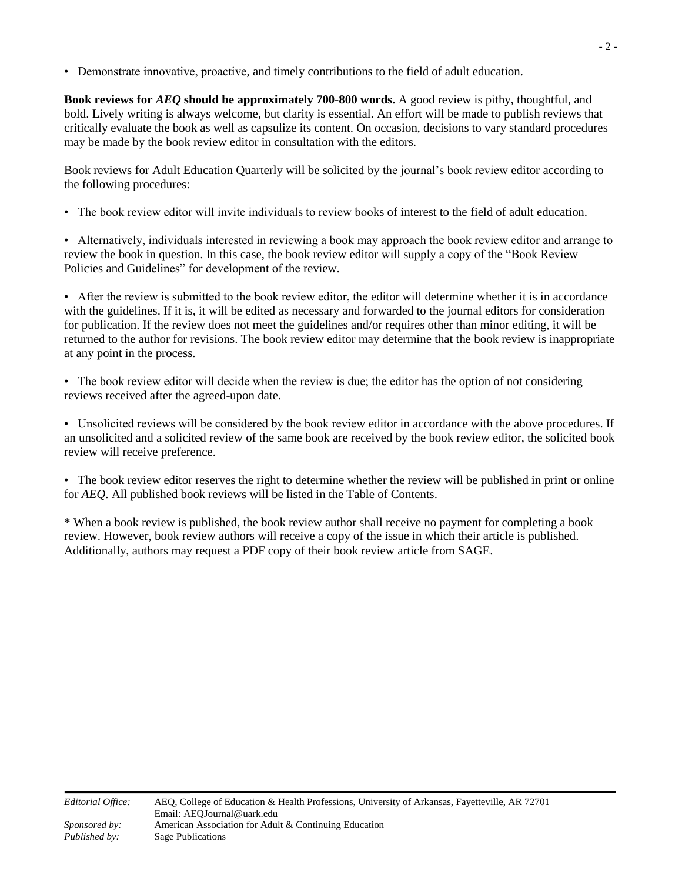• Demonstrate innovative, proactive, and timely contributions to the field of adult education.

**Book reviews for** *AEQ* **should be approximately 700-800 words.** A good review is pithy, thoughtful, and bold. Lively writing is always welcome, but clarity is essential. An effort will be made to publish reviews that critically evaluate the book as well as capsulize its content. On occasion, decisions to vary standard procedures may be made by the book review editor in consultation with the editors.

Book reviews for Adult Education Quarterly will be solicited by the journal's book review editor according to the following procedures:

• The book review editor will invite individuals to review books of interest to the field of adult education.

• Alternatively, individuals interested in reviewing a book may approach the book review editor and arrange to review the book in question. In this case, the book review editor will supply a copy of the "Book Review Policies and Guidelines" for development of the review.

• After the review is submitted to the book review editor, the editor will determine whether it is in accordance with the guidelines. If it is, it will be edited as necessary and forwarded to the journal editors for consideration for publication. If the review does not meet the guidelines and/or requires other than minor editing, it will be returned to the author for revisions. The book review editor may determine that the book review is inappropriate at any point in the process.

• The book review editor will decide when the review is due; the editor has the option of not considering reviews received after the agreed-upon date.

• Unsolicited reviews will be considered by the book review editor in accordance with the above procedures. If an unsolicited and a solicited review of the same book are received by the book review editor, the solicited book review will receive preference.

• The book review editor reserves the right to determine whether the review will be published in print or online for *AEQ*. All published book reviews will be listed in the Table of Contents.

\* When a book review is published, the book review author shall receive no payment for completing a book review. However, book review authors will receive a copy of the issue in which their article is published. Additionally, authors may request a PDF copy of their book review article from SAGE.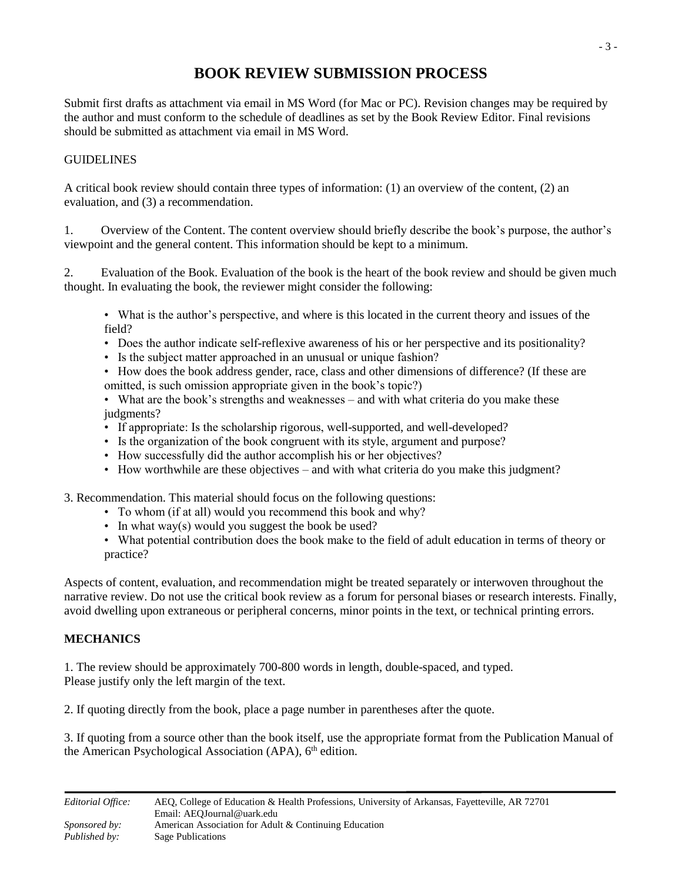## **BOOK REVIEW SUBMISSION PROCESS**

Submit first drafts as attachment via email in MS Word (for Mac or PC). Revision changes may be required by the author and must conform to the schedule of deadlines as set by the Book Review Editor. Final revisions should be submitted as attachment via email in MS Word.

### GUIDELINES

A critical book review should contain three types of information: (1) an overview of the content, (2) an evaluation, and (3) a recommendation.

1. Overview of the Content. The content overview should briefly describe the book's purpose, the author's viewpoint and the general content. This information should be kept to a minimum.

2. Evaluation of the Book. Evaluation of the book is the heart of the book review and should be given much thought. In evaluating the book, the reviewer might consider the following:

• What is the author's perspective, and where is this located in the current theory and issues of the field?

- Does the author indicate self-reflexive awareness of his or her perspective and its positionality?
- Is the subject matter approached in an unusual or unique fashion?
- How does the book address gender, race, class and other dimensions of difference? (If these are omitted, is such omission appropriate given in the book's topic?)

• What are the book's strengths and weaknesses – and with what criteria do you make these judgments?

- If appropriate: Is the scholarship rigorous, well-supported, and well-developed?
- Is the organization of the book congruent with its style, argument and purpose?
- How successfully did the author accomplish his or her objectives?
- How worthwhile are these objectives and with what criteria do you make this judgment?

3. Recommendation. This material should focus on the following questions:

- To whom (if at all) would you recommend this book and why?
- In what way(s) would you suggest the book be used?
- What potential contribution does the book make to the field of adult education in terms of theory or practice?

Aspects of content, evaluation, and recommendation might be treated separately or interwoven throughout the narrative review. Do not use the critical book review as a forum for personal biases or research interests. Finally, avoid dwelling upon extraneous or peripheral concerns, minor points in the text, or technical printing errors.

#### **MECHANICS**

1. The review should be approximately 700-800 words in length, double-spaced, and typed. Please justify only the left margin of the text.

2. If quoting directly from the book, place a page number in parentheses after the quote.

3. If quoting from a source other than the book itself, use the appropriate format from the Publication Manual of the American Psychological Association (APA), 6<sup>th</sup> edition.